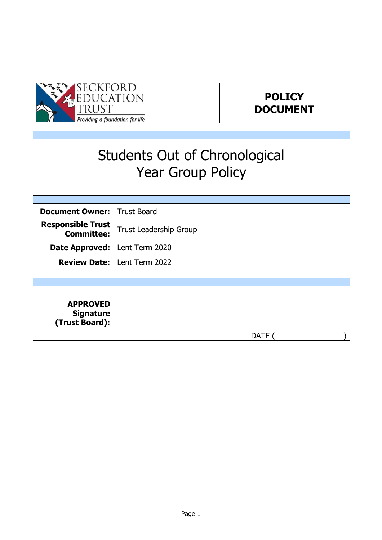



# Students Out of Chronological Year Group Policy

| <b>Document Owner:   Trust Board</b>   |                                      |  |
|----------------------------------------|--------------------------------------|--|
| <b>Responsible Trust</b>               | Trust Leadership Group               |  |
| <b>Date Approved:</b>   Lent Term 2020 |                                      |  |
|                                        | <b>Review Date:   Lent Term 2022</b> |  |

| <b>APPROVED</b><br>  Signature<br>  Trust Board): |             |  |
|---------------------------------------------------|-------------|--|
|                                                   | <b>DATE</b> |  |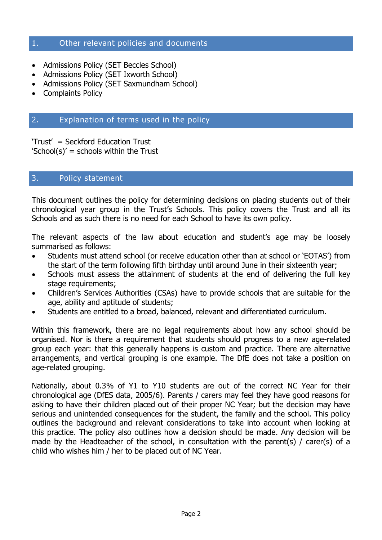## 1. Other relevant policies and documents

- Admissions Policy (SET Beccles School)
- Admissions Policy (SET Ixworth School)
- Admissions Policy (SET Saxmundham School)
- Complaints Policy

# 2. Explanation of terms used in the policy

'Trust' = Seckford Education Trust  $School(s)' =$  schools within the Trust

#### 3. Policy statement

This document outlines the policy for determining decisions on placing students out of their chronological year group in the Trust's Schools. This policy covers the Trust and all its Schools and as such there is no need for each School to have its own policy.

The relevant aspects of the law about education and student's age may be loosely summarised as follows:

- Students must attend school (or receive education other than at school or 'EOTAS') from the start of the term following fifth birthday until around June in their sixteenth year;
- Schools must assess the attainment of students at the end of delivering the full key stage requirements;
- Children's Services Authorities (CSAs) have to provide schools that are suitable for the age, ability and aptitude of students;
- Students are entitled to a broad, balanced, relevant and differentiated curriculum.

Within this framework, there are no legal requirements about how any school should be organised. Nor is there a requirement that students should progress to a new age-related group each year: that this generally happens is custom and practice. There are alternative arrangements, and vertical grouping is one example. The DfE does not take a position on age-related grouping.

Nationally, about 0.3% of Y1 to Y10 students are out of the correct NC Year for their chronological age (DfES data, 2005/6). Parents / carers may feel they have good reasons for asking to have their children placed out of their proper NC Year; but the decision may have serious and unintended consequences for the student, the family and the school. This policy outlines the background and relevant considerations to take into account when looking at this practice. The policy also outlines how a decision should be made. Any decision will be made by the Headteacher of the school, in consultation with the parent(s) / carer(s) of a child who wishes him / her to be placed out of NC Year.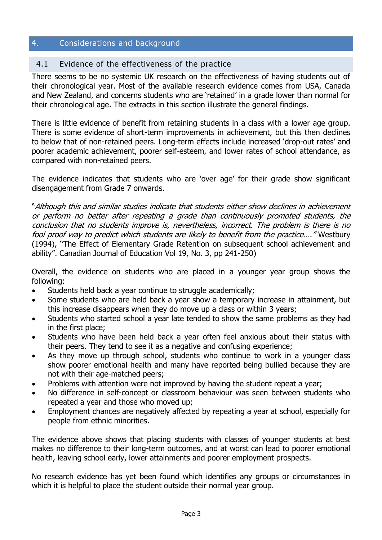# 4. Considerations and background

# 4.1 Evidence of the effectiveness of the practice

There seems to be no systemic UK research on the effectiveness of having students out of their chronological year. Most of the available research evidence comes from USA, Canada and New Zealand, and concerns students who are 'retained' in a grade lower than normal for their chronological age. The extracts in this section illustrate the general findings.

There is little evidence of benefit from retaining students in a class with a lower age group. There is some evidence of short-term improvements in achievement, but this then declines to below that of non-retained peers. Long-term effects include increased 'drop-out rates' and poorer academic achievement, poorer self-esteem, and lower rates of school attendance, as compared with non-retained peers.

The evidence indicates that students who are 'over age' for their grade show significant disengagement from Grade 7 onwards.

"Although this and similar studies indicate that students either show declines in achievement or perform no better after repeating a grade than continuously promoted students, the conclusion that no students improve is, nevertheless, incorrect. The problem is there is no fool proof way to predict which students are likely to benefit from the practice…." Westbury (1994), "The Effect of Elementary Grade Retention on subsequent school achievement and ability". Canadian Journal of Education Vol 19, No. 3, pp 241-250)

Overall, the evidence on students who are placed in a younger year group shows the following:

- Students held back a year continue to struggle academically;
- Some students who are held back a year show a temporary increase in attainment, but this increase disappears when they do move up a class or within 3 years;
- Students who started school a year late tended to show the same problems as they had in the first place;
- Students who have been held back a year often feel anxious about their status with their peers. They tend to see it as a negative and confusing experience;
- As they move up through school, students who continue to work in a younger class show poorer emotional health and many have reported being bullied because they are not with their age-matched peers;
- Problems with attention were not improved by having the student repeat a year;
- No difference in self-concept or classroom behaviour was seen between students who repeated a year and those who moved up;
- Employment chances are negatively affected by repeating a year at school, especially for people from ethnic minorities.

The evidence above shows that placing students with classes of younger students at best makes no difference to their long-term outcomes, and at worst can lead to poorer emotional health, leaving school early, lower attainments and poorer employment prospects.

No research evidence has yet been found which identifies any groups or circumstances in which it is helpful to place the student outside their normal year group.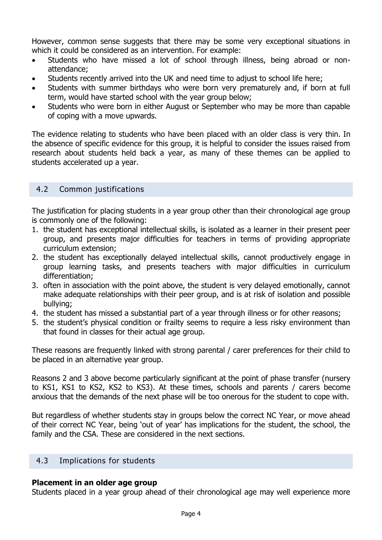However, common sense suggests that there may be some very exceptional situations in which it could be considered as an intervention. For example:

- Students who have missed a lot of school through illness, being abroad or nonattendance;
- Students recently arrived into the UK and need time to adjust to school life here;
- Students with summer birthdays who were born very prematurely and, if born at full term, would have started school with the year group below;
- Students who were born in either August or September who may be more than capable of coping with a move upwards.

The evidence relating to students who have been placed with an older class is very thin. In the absence of specific evidence for this group, it is helpful to consider the issues raised from research about students held back a year, as many of these themes can be applied to students accelerated up a year.

# 4.2 Common justifications

The justification for placing students in a year group other than their chronological age group is commonly one of the following:

- 1. the student has exceptional intellectual skills, is isolated as a learner in their present peer group, and presents major difficulties for teachers in terms of providing appropriate curriculum extension;
- 2. the student has exceptionally delayed intellectual skills, cannot productively engage in group learning tasks, and presents teachers with major difficulties in curriculum differentiation;
- 3. often in association with the point above, the student is very delayed emotionally, cannot make adequate relationships with their peer group, and is at risk of isolation and possible bullying;
- 4. the student has missed a substantial part of a year through illness or for other reasons;
- 5. the student's physical condition or frailty seems to require a less risky environment than that found in classes for their actual age group.

These reasons are frequently linked with strong parental / carer preferences for their child to be placed in an alternative year group.

Reasons 2 and 3 above become particularly significant at the point of phase transfer (nursery to KS1, KS1 to KS2, KS2 to KS3). At these times, schools and parents / carers become anxious that the demands of the next phase will be too onerous for the student to cope with.

But regardless of whether students stay in groups below the correct NC Year, or move ahead of their correct NC Year, being 'out of year' has implications for the student, the school, the family and the CSA. These are considered in the next sections.

## 4.3 Implications for students

## **Placement in an older age group**

Students placed in a year group ahead of their chronological age may well experience more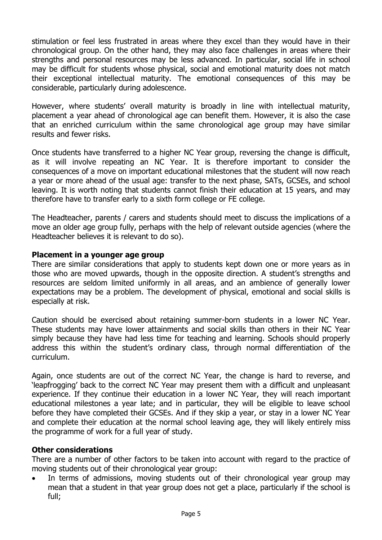stimulation or feel less frustrated in areas where they excel than they would have in their chronological group. On the other hand, they may also face challenges in areas where their strengths and personal resources may be less advanced. In particular, social life in school may be difficult for students whose physical, social and emotional maturity does not match their exceptional intellectual maturity. The emotional consequences of this may be considerable, particularly during adolescence.

However, where students' overall maturity is broadly in line with intellectual maturity, placement a year ahead of chronological age can benefit them. However, it is also the case that an enriched curriculum within the same chronological age group may have similar results and fewer risks.

Once students have transferred to a higher NC Year group, reversing the change is difficult, as it will involve repeating an NC Year. It is therefore important to consider the consequences of a move on important educational milestones that the student will now reach a year or more ahead of the usual age: transfer to the next phase, SATs, GCSEs, and school leaving. It is worth noting that students cannot finish their education at 15 years, and may therefore have to transfer early to a sixth form college or FE college.

The Headteacher, parents / carers and students should meet to discuss the implications of a move an older age group fully, perhaps with the help of relevant outside agencies (where the Headteacher believes it is relevant to do so).

#### **Placement in a younger age group**

There are similar considerations that apply to students kept down one or more years as in those who are moved upwards, though in the opposite direction. A student's strengths and resources are seldom limited uniformly in all areas, and an ambience of generally lower expectations may be a problem. The development of physical, emotional and social skills is especially at risk.

Caution should be exercised about retaining summer-born students in a lower NC Year. These students may have lower attainments and social skills than others in their NC Year simply because they have had less time for teaching and learning. Schools should properly address this within the student's ordinary class, through normal differentiation of the curriculum.

Again, once students are out of the correct NC Year, the change is hard to reverse, and 'leapfrogging' back to the correct NC Year may present them with a difficult and unpleasant experience. If they continue their education in a lower NC Year, they will reach important educational milestones a year late; and in particular, they will be eligible to leave school before they have completed their GCSEs. And if they skip a year, or stay in a lower NC Year and complete their education at the normal school leaving age, they will likely entirely miss the programme of work for a full year of study.

#### **Other considerations**

There are a number of other factors to be taken into account with regard to the practice of moving students out of their chronological year group:

 In terms of admissions, moving students out of their chronological year group may mean that a student in that year group does not get a place, particularly if the school is full;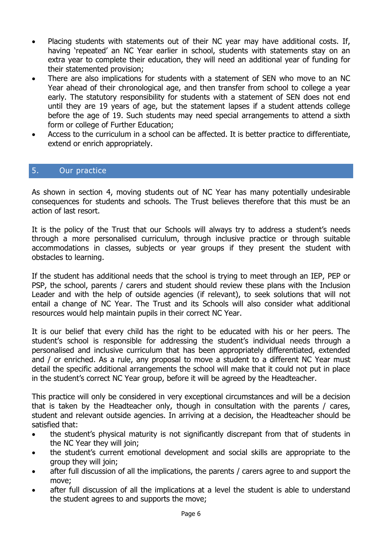- Placing students with statements out of their NC year may have additional costs. If, having 'repeated' an NC Year earlier in school, students with statements stay on an extra year to complete their education, they will need an additional year of funding for their statemented provision;
- There are also implications for students with a statement of SEN who move to an NC Year ahead of their chronological age, and then transfer from school to college a year early. The statutory responsibility for students with a statement of SEN does not end until they are 19 years of age, but the statement lapses if a student attends college before the age of 19. Such students may need special arrangements to attend a sixth form or college of Further Education;
- Access to the curriculum in a school can be affected. It is better practice to differentiate, extend or enrich appropriately.

# 5. Our practice

As shown in section 4, moving students out of NC Year has many potentially undesirable consequences for students and schools. The Trust believes therefore that this must be an action of last resort.

It is the policy of the Trust that our Schools will always try to address a student's needs through a more personalised curriculum, through inclusive practice or through suitable accommodations in classes, subjects or year groups if they present the student with obstacles to learning.

If the student has additional needs that the school is trying to meet through an IEP, PEP or PSP, the school, parents / carers and student should review these plans with the Inclusion Leader and with the help of outside agencies (if relevant), to seek solutions that will not entail a change of NC Year. The Trust and its Schools will also consider what additional resources would help maintain pupils in their correct NC Year.

It is our belief that every child has the right to be educated with his or her peers. The student's school is responsible for addressing the student's individual needs through a personalised and inclusive curriculum that has been appropriately differentiated, extended and / or enriched. As a rule, any proposal to move a student to a different NC Year must detail the specific additional arrangements the school will make that it could not put in place in the student's correct NC Year group, before it will be agreed by the Headteacher.

This practice will only be considered in very exceptional circumstances and will be a decision that is taken by the Headteacher only, though in consultation with the parents / cares, student and relevant outside agencies. In arriving at a decision, the Headteacher should be satisfied that:

- the student's physical maturity is not significantly discrepant from that of students in the NC Year they will join;
- the student's current emotional development and social skills are appropriate to the group they will join;
- after full discussion of all the implications, the parents / carers agree to and support the move;
- after full discussion of all the implications at a level the student is able to understand the student agrees to and supports the move;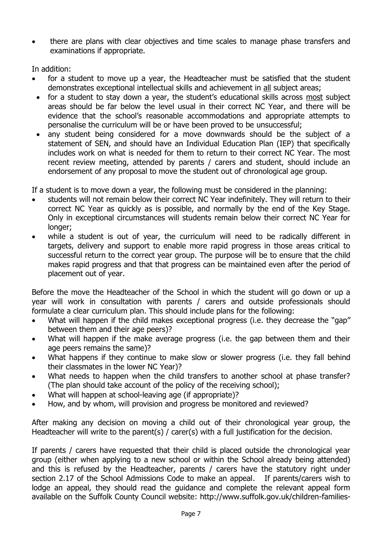there are plans with clear objectives and time scales to manage phase transfers and examinations if appropriate.

In addition:

- for a student to move up a year, the Headteacher must be satisfied that the student demonstrates exceptional intellectual skills and achievement in all subject areas;
- for a student to stay down a year, the student's educational skills across most subject areas should be far below the level usual in their correct NC Year, and there will be evidence that the school's reasonable accommodations and appropriate attempts to personalise the curriculum will be or have been proved to be unsuccessful;
- any student being considered for a move downwards should be the subject of a statement of SEN, and should have an Individual Education Plan (IEP) that specifically includes work on what is needed for them to return to their correct NC Year. The most recent review meeting, attended by parents / carers and student, should include an endorsement of any proposal to move the student out of chronological age group.

If a student is to move down a year, the following must be considered in the planning:

- students will not remain below their correct NC Year indefinitely. They will return to their correct NC Year as quickly as is possible, and normally by the end of the Key Stage. Only in exceptional circumstances will students remain below their correct NC Year for longer;
- while a student is out of year, the curriculum will need to be radically different in targets, delivery and support to enable more rapid progress in those areas critical to successful return to the correct year group. The purpose will be to ensure that the child makes rapid progress and that that progress can be maintained even after the period of placement out of year.

Before the move the Headteacher of the School in which the student will go down or up a year will work in consultation with parents / carers and outside professionals should formulate a clear curriculum plan. This should include plans for the following:

- What will happen if the child makes exceptional progress (i.e. they decrease the "gap" between them and their age peers)?
- What will happen if the make average progress (i.e. the gap between them and their age peers remains the same)?
- What happens if they continue to make slow or slower progress (i.e. they fall behind their classmates in the lower NC Year)?
- What needs to happen when the child transfers to another school at phase transfer? (The plan should take account of the policy of the receiving school);
- What will happen at school-leaving age (if appropriate)?
- How, and by whom, will provision and progress be monitored and reviewed?

After making any decision on moving a child out of their chronological year group, the Headteacher will write to the parent(s) / carer(s) with a full justification for the decision.

If parents / carers have requested that their child is placed outside the chronological year group (either when applying to a new school or within the School already being attended) and this is refused by the Headteacher, parents / carers have the statutory right under section 2.17 of the School Admissions Code to make an appeal. If parents/carers wish to lodge an appeal, they should read the guidance and complete the relevant appeal form available on the Suffolk County Council website: http://www.suffolk.gov.uk/children-families